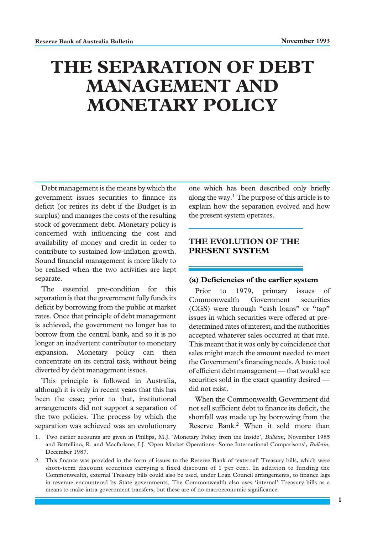# **THE SEPARATION OF DEBT MANAGEMENT AND MONETARY POLICY**

Debt management is the means by which the government issues securities to finance its deficit (or retires its debt if the Budget is in surplus) and manages the costs of the resulting stock of government debt. Monetary policy is concerned with influencing the cost and availability of money and credit in order to contribute to sustained low-inflation growth. Sound financial management is more likely to be realised when the two activities are kept separate.

The essential pre-condition for this separation is that the government fully funds its deficit by borrowing from the public at market rates. Once that principle of debt management is achieved, the government no longer has to borrow from the central bank, and so it is no longer an inadvertent contributor to monetary expansion. Monetary policy can then concentrate on its central task, without being diverted by debt management issues.

This principle is followed in Australia, although it is only in recent years that this has been the case; prior to that, institutional arrangements did not support a separation of the two policies. The process by which the separation was achieved was an evolutionary

one which has been described only briefly along the way.<sup>1</sup> The purpose of this article is to explain how the separation evolved and how the present system operates.

# **THE EVOLUTION OF THE PRESENT SYSTEM**

#### **(a) Deficiencies of the earlier system**

Prior to 1979, primary issues of Commonwealth Government securities (CGS) were through "cash loans" or "tap" issues in which securities were offered at predetermined rates of interest, and the authorities accepted whatever sales occurred at that rate. This meant that it was only by coincidence that sales might match the amount needed to meet the Government's financing needs. A basic tool of efficient debt management — that would see securities sold in the exact quantity desired did not exist.

When the Commonwealth Government did not sell sufficient debt to finance its deficit, the shortfall was made up by borrowing from the Reserve Bank.<sup>2</sup> When it sold more than

- 1. Two earlier accounts are given in Phillips, M.J. 'Monetary Policy from the Inside', *Bulletin,* November 1985 and Battellino, R. and Macfarlane, I.J. 'Open Market Operations- Some International Comparisons', *Bulletin,* December 1987.
- 2. This finance was provided in the form of issues to the Reserve Bank of 'external' Treasury bills, which were short-term discount securities carrying a fixed discount of 1 per cent. In addition to funding the Commonwealth, external Treasury bills could also be used, under Loan Council arrangements, to finance lags in revenue encountered by State governments. The Commonwealth also uses 'internal' Treasury bills as a means to make intra-government transfers, but these are of no macroeconomic significance.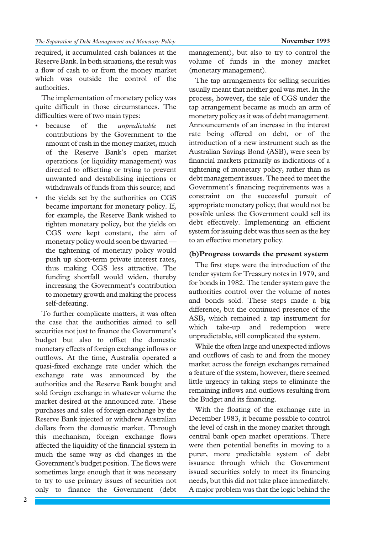required, it accumulated cash balances at the Reserve Bank. In both situations, the result was a flow of cash to or from the money market which was outside the control of the authorities.

The implementation of monetary policy was quite difficult in those circumstances. The difficulties were of two main types:

- because of the *unpredictable* net contributions by the Government to the amount of cash in the money market, much of the Reserve Bank's open market operations (or liquidity management) was directed to offsetting or trying to prevent unwanted and destabilising injections or withdrawals of funds from this source; and
- the yields set by the authorities on CGS became important for monetary policy. If, for example, the Reserve Bank wished to tighten monetary policy, but the yields on CGS were kept constant, the aim of monetary policy would soon be thwarted the tightening of monetary policy would push up short-term private interest rates, thus making CGS less attractive. The funding shortfall would widen, thereby increasing the Government's contribution to monetary growth and making the process self-defeating.

To further complicate matters, it was often the case that the authorities aimed to sell securities not just to finance the Government's budget but also to offset the domestic monetary effects of foreign exchange inflows or outflows. At the time, Australia operated a quasi-fixed exchange rate under which the exchange rate was announced by the authorities and the Reserve Bank bought and sold foreign exchange in whatever volume the market desired at the announced rate. These purchases and sales of foreign exchange by the Reserve Bank injected or withdrew Australian dollars from the domestic market. Through this mechanism, foreign exchange flows affected the liquidity of the financial system in much the same way as did changes in the Government's budget position. The flows were sometimes large enough that it was necessary to try to use primary issues of securities not only to finance the Government (debt

management), but also to try to control the volume of funds in the money market (monetary management).

The tap arrangements for selling securities usually meant that neither goal was met. In the process, however, the sale of CGS under the tap arrangement became as much an arm of monetary policy as it was of debt management. Announcements of an increase in the interest rate being offered on debt, or of the introduction of a new instrument such as the Australian Savings Bond (ASB), were seen by financial markets primarily as indications of a tightening of monetary policy, rather than as debt management issues. The need to meet the Government's financing requirements was a constraint on the successful pursuit of appropriate monetary policy; that would not be possible unless the Government could sell its debt effectively. Implementing an efficient system for issuing debt was thus seen as the key to an effective monetary policy.

### **(b)Progress towards the present system**

The first steps were the introduction of the tender system for Treasury notes in 1979, and for bonds in 1982. The tender system gave the authorities control over the volume of notes and bonds sold. These steps made a big difference, but the continued presence of the ASB, which remained a tap instrument for which take-up and redemption were unpredictable, still complicated the system.

While the often large and unexpected inflows and outflows of cash to and from the money market across the foreign exchanges remained a feature of the system, however, there seemed little urgency in taking steps to eliminate the remaining inflows and outflows resulting from the Budget and its financing.

With the floating of the exchange rate in December 1983, it became possible to control the level of cash in the money market through central bank open market operations. There were then potential benefits in moving to a purer, more predictable system of debt issuance through which the Government issued securities solely to meet its financing needs, but this did not take place immediately. A major problem was that the logic behind the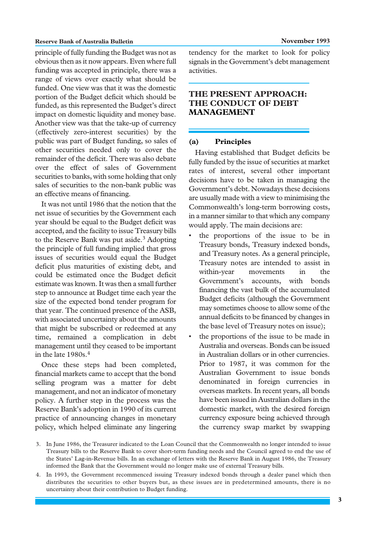#### **Reserve Bank of Australia Bulletin November 1993**

principle of fully funding the Budget was not as obvious then as it now appears. Even where full funding was accepted in principle, there was a range of views over exactly what should be funded. One view was that it was the domestic portion of the Budget deficit which should be funded, as this represented the Budget's direct impact on domestic liquidity and money base. Another view was that the take-up of currency (effectively zero-interest securities) by the public was part of Budget funding, so sales of other securities needed only to cover the remainder of the deficit. There was also debate over the effect of sales of Government securities to banks, with some holding that only sales of securities to the non-bank public was an effective means of financing.

It was not until 1986 that the notion that the net issue of securities by the Government each year should be equal to the Budget deficit was accepted, and the facility to issue Treasury bills to the Reserve Bank was put aside.<sup>3</sup> Adopting the principle of full funding implied that gross issues of securities would equal the Budget deficit plus maturities of existing debt, and could be estimated once the Budget deficit estimate was known. It was then a small further step to announce at Budget time each year the size of the expected bond tender program for that year. The continued presence of the ASB, with associated uncertainty about the amounts that might be subscribed or redeemed at any time, remained a complication in debt management until they ceased to be important in the late 1980s.4

Once these steps had been completed, financial markets came to accept that the bond selling program was a matter for debt management, and not an indicator of monetary policy. A further step in the process was the Reserve Bank's adoption in 1990 of its current practice of announcing changes in monetary policy, which helped eliminate any lingering tendency for the market to look for policy signals in the Government's debt management activities.

# **THE PRESENT APPROACH: THE CONDUCT OF DEBT MANAGEMENT**

### **(a) Principles**

Having established that Budget deficits be fully funded by the issue of securities at market rates of interest, several other important decisions have to be taken in managing the Government's debt. Nowadays these decisions are usually made with a view to minimising the Commonwealth's long-term borrowing costs, in a manner similar to that which any company would apply. The main decisions are:

- the proportions of the issue to be in Treasury bonds, Treasury indexed bonds, and Treasury notes. As a general principle, Treasury notes are intended to assist in within-year movements in the Government's accounts, with bonds financing the vast bulk of the accumulated Budget deficits (although the Government may sometimes choose to allow some of the annual deficits to be financed by changes in the base level of Treasury notes on issue);
- the proportions of the issue to be made in Australia and overseas. Bonds can be issued in Australian dollars or in other currencies. Prior to 1987, it was common for the Australian Government to issue bonds denominated in foreign currencies in overseas markets. In recent years, all bonds have been issued in Australian dollars in the domestic market, with the desired foreign currency exposure being achieved through the currency swap market by swapping

<sup>3.</sup> In June 1986, the Treasurer indicated to the Loan Council that the Commonwealth no longer intended to issue Treasury bills to the Reserve Bank to cover short-term funding needs and the Council agreed to end the use of the States' Lag-in-Revenue bills. In an exchange of letters with the Reserve Bank in August 1986, the Treasury informed the Bank that the Government would no longer make use of external Treasury bills.

<sup>4.</sup> In 1993, the Government recommenced issuing Treasury indexed bonds through a dealer panel which then distributes the securities to other buyers but, as these issues are in predetermined amounts, there is no uncertainty about their contribution to Budget funding.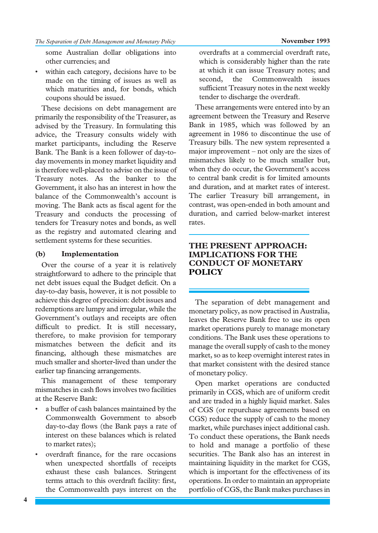some Australian dollar obligations into other currencies; and

within each category, decisions have to be made on the timing of issues as well as which maturities and, for bonds, which coupons should be issued.

These decisions on debt management are primarily the responsibility of the Treasurer, as advised by the Treasury. In formulating this advice, the Treasury consults widely with market participants, including the Reserve Bank. The Bank is a keen follower of day-today movements in money market liquidity and is therefore well-placed to advise on the issue of Treasury notes. As the banker to the Government, it also has an interest in how the balance of the Commonwealth's account is moving. The Bank acts as fiscal agent for the Treasury and conducts the processing of tenders for Treasury notes and bonds, as well as the registry and automated clearing and settlement systems for these securities.

### **(b) Implementation**

Over the course of a year it is relatively straightforward to adhere to the principle that net debt issues equal the Budget deficit. On a day-to-day basis, however, it is not possible to achieve this degree of precision: debt issues and redemptions are lumpy and irregular, while the Government's outlays and receipts are often difficult to predict. It is still necessary, therefore, to make provision for temporary mismatches between the deficit and its financing, although these mismatches are much smaller and shorter-lived than under the earlier tap financing arrangements.

This management of these temporary mismatches in cash flows involves two facilities at the Reserve Bank:

- a buffer of cash balances maintained by the Commonwealth Government to absorb day-to-day flows (the Bank pays a rate of interest on these balances which is related to market rates);
- overdraft finance, for the rare occasions when unexpected shortfalls of receipts exhaust these cash balances. Stringent terms attach to this overdraft facility: first, the Commonwealth pays interest on the

overdrafts at a commercial overdraft rate, which is considerably higher than the rate at which it can issue Treasury notes; and second, the Commonwealth issues sufficient Treasury notes in the next weekly tender to discharge the overdraft.

These arrangements were entered into by an agreement between the Treasury and Reserve Bank in 1985, which was followed by an agreement in 1986 to discontinue the use of Treasury bills. The new system represented a major improvement – not only are the sizes of mismatches likely to be much smaller but, when they do occur, the Government's access to central bank credit is for limited amounts and duration, and at market rates of interest. The earlier Treasury bill arrangement, in contrast, was open-ended in both amount and duration, and carried below-market interest rates.

# **THE PRESENT APPROACH: IMPLICATIONS FOR THE CONDUCT OF MONETARY POLICY**

The separation of debt management and monetary policy, as now practised in Australia, leaves the Reserve Bank free to use its open market operations purely to manage monetary conditions. The Bank uses these operations to manage the overall supply of cash to the money market, so as to keep overnight interest rates in that market consistent with the desired stance of monetary policy.

Open market operations are conducted primarily in CGS, which are of uniform credit and are traded in a highly liquid market. Sales of CGS (or repurchase agreements based on CGS) reduce the supply of cash to the money market, while purchases inject additional cash. To conduct these operations, the Bank needs to hold and manage a portfolio of these securities. The Bank also has an interest in maintaining liquidity in the market for CGS, which is important for the effectiveness of its operations. In order to maintain an appropriate portfolio of CGS, the Bank makes purchases in